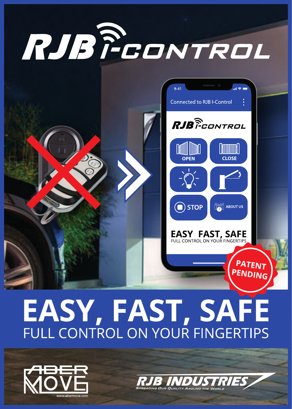

 $9:41$ 

Connected to RJB I-Control

 $\circledcirc$  STOP

**RJB** PCONTROL

**THEFT EXI CLOSE** 

 $\frac{1}{2}$  ABOUT US



# **FULL CONTROL ON YOUR FINGERTIPS**



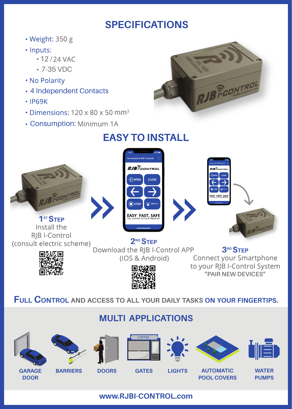## **SPECIFICATIONS**

• Weight: 350 g

#### · Inputs:

- $12 / 24$  VAC
- 7-35 VDC
- . No Polarity
- 4 Independent Contacts
- $\cdot$  IP69K
- Dimensions:  $120 \times 80 \times 50$  mm<sup>3</sup>
- Consumption: Minimum 1A



# **EASY TO INSTALL**



### **FULL CONTROL AND ACCESS TO ALL YOUR DAILY TASKS ON YOUR FINGERTIPS.**

### **MULTI APPLICATIONS**















**GARAGE DOOR**

**BARRIERS DOORS GATES LIGHTS**

**AUTOMATIC POOL COVERS**

**WATER PUMPS**

#### **www.RJBI-CONTROL.com**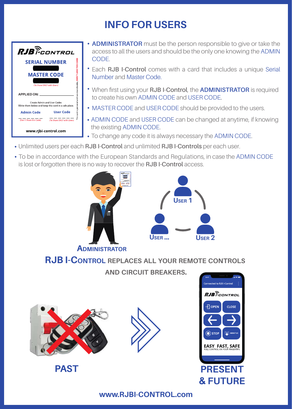## **INFO FOR USERS**

| <b>RJB</b> PCONTROL                                                                    |
|----------------------------------------------------------------------------------------|
| <b>SERIAL NUMBER</b>                                                                   |
| This card is personal and non-transferable, DON'T LOSE THIS CARD<br><b>MASTER CODE</b> |
| (To Share ONLY with Users)                                                             |
| <b>APPLIED ON:</b>                                                                     |
| Create Admin and User Codes<br>Write them below and keep this card in a safe place.    |
| <b>User Code</b><br><b>Admin Code</b>                                                  |
| (Don't Share this Code)<br>(To Share ONLY with Users)                                  |
| www.ribi-control.com                                                                   |

- **ADMINISTRATOR** must be the person responsible to give or take the access to all the users and should be the only one knowing the ADMIN **CODE**
- Each **RJB I-Control** comes with a card that includes a unique Serial Number and Master Code.
- When first using your **RJB I-Control**, the **ADMINISTRATOR** is required to create his own ADMIN CODE and USER CODE.
- MASTER CODE and USER CODE should be provided to the users.
- ADMIN CODE and USER CODE can be changed at anytime, if knowing the existing ADMIN CODE.
- To change any code it is always necessary the ADMIN CODE.
- Unlimited users per each **RJB I-Control** and unlimited **RJB I-Controls** per each user.
- To be in accordance with the European Standards and Regulations, in case the ADMIN CODE is lost or forgotten there is no way to recover the **RJB I-Control** access.



**RJB I-CONTROL REPLACES ALL YOUR REMOTE CONTROLS**

**AND CIRCUIT BREAKERS.**









**www.RJBI-CONTROL.com**